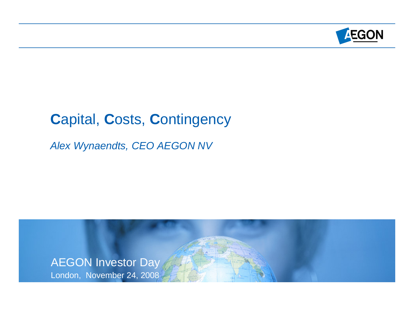

# **C**apital, **C**osts, **C**ontingency

*Alex Wynaendts, CEO AEGON NV* 

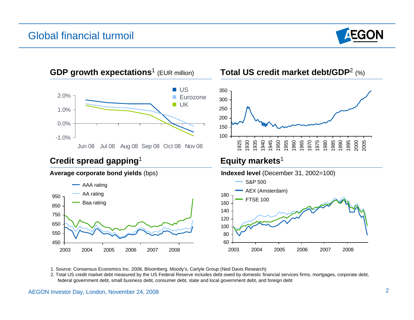#### Global financial turmoil





- 1. Source: Consensus Economics Inc. 2008, Bloomberg, Moody's, Carlyle Group (Ned Davis Research)
- 2. Total US credit market debt measured by the US Federal Reserve includes debt owed by domestic financial services firms, mortgages, corporate debt, federal government debt, small business debt, consumer debt, state and local government debt, and foreign debt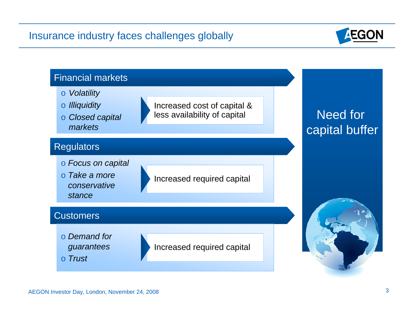## Insurance industry faces challenges globally



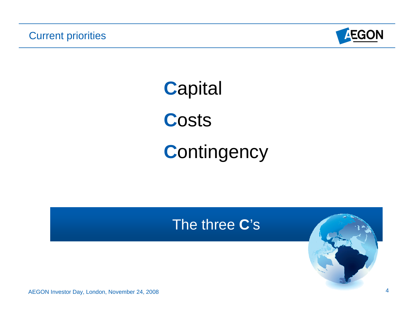

**C**apital **C**osts **C**ontingency

# The three **C**'s

AEGON Investor Day, London, November 24, 2008 4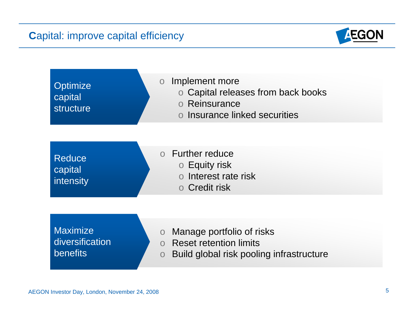# **Capital: improve capital efficiency**



| Optimize<br>capital<br><b>structure</b>               | Implement more<br>$\overline{O}$<br>o Capital releases from back books<br>o Reinsurance<br>o Insurance linked securities                       |
|-------------------------------------------------------|------------------------------------------------------------------------------------------------------------------------------------------------|
| <b>Reduce</b><br>capital<br>intensity                 | <b>Further reduce</b><br>$\Omega$<br><b>O</b> Equity risk<br>o Interest rate risk<br>o Credit risk                                             |
| <b>Maximize</b><br>diversification<br><b>benefits</b> | Manage portfolio of risks<br>$\bigcirc$<br><b>Reset retention limits</b><br>$\Omega$<br>Build global risk pooling infrastructure<br>$\bigcirc$ |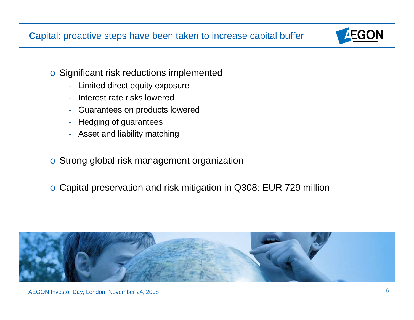**C**apital: proactive steps have been taken to increase capital buffer



- o Significant risk reductions implemented
	- -Limited direct equity exposure
	- -Interest rate risks lowered
	- -Guarantees on products lowered
	- -Hedging of guarantees
	- -Asset and liability matching
- o Strong global risk management organization
- o Capital preservation and risk mitigation in Q308: EUR 729 million

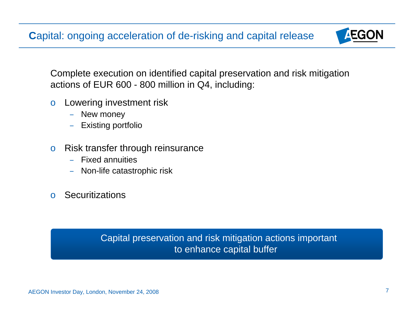**C**apital: ongoing acceleration of de-risking and capital release



Complete execution on identified capital preservation and risk mitigation actions of EUR 600 - 800 million in Q4, including:

- o Lowering investment risk
	- –New money
	- –Existing portfolio
- o Risk transfer through reinsurance
	- –Fixed annuities
	- –Non-life catastrophic risk
- o Securitizations

Capital preservation and risk mitigation actions important to enhance capital buffer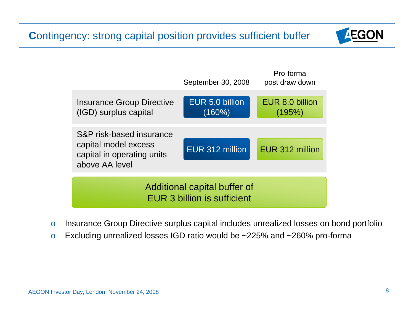## **C**ontingency: strong capital position provides sufficient buffer



|                                                                                                  | September 30, 2008                  | Pro-forma<br>post draw down |  |
|--------------------------------------------------------------------------------------------------|-------------------------------------|-----------------------------|--|
| <b>Insurance Group Directive</b><br>(IGD) surplus capital                                        | <b>EUR 5.0 billion</b><br>$(160\%)$ | EUR 8.0 billion<br>(195%)   |  |
| S&P risk-based insurance<br>capital model excess<br>capital in operating units<br>above AA level | <b>EUR 312 million</b>              | EUR 312 million             |  |
| Additional capital buffer of<br><b>EUR 3 billion is sufficient</b>                               |                                     |                             |  |

- o Insurance Group Directive surplus capital includes unrealized losses on bond portfolio
- o Excluding unrealized losses IGD ratio would be ~225% and ~260% pro-forma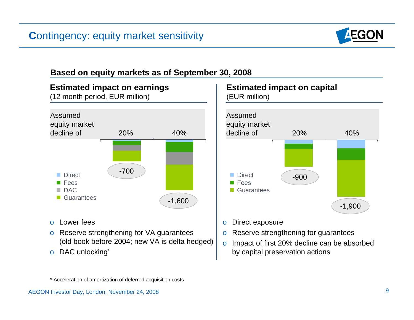

#### **Based on equity markets as of September 30, 2008**



- o Lower fees
- o Reserve strengthening for VA guarantees (old book before 2004; new VA is delta hedged)
- o DAC unlocking\*



o Direct exposure

- o Reserve strengthening for guarantees
- <sup>o</sup> Impact of first 20% decline can be absorbed by capital preservation actions

\* Acceleration of amortization of deferred acquisition costs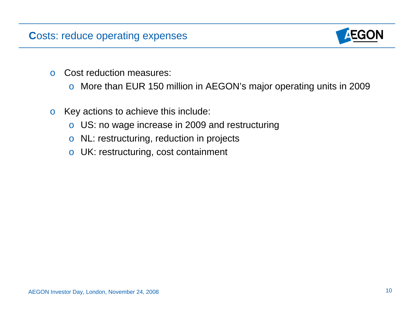#### **C**osts: reduce operating expenses



- o Cost reduction measures:
	- o More than EUR 150 million in AEGON's major operating units in 2009
- o Key actions to achieve this include:
	- o US: no wage increase in 2009 and restructuring
	- o NL: restructuring, reduction in projects
	- o UK: restructuring, cost containment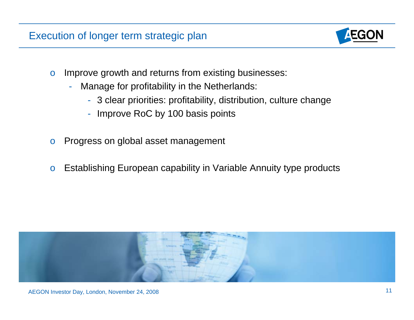#### Execution of longer term strategic plan



- o Improve growth and returns from existing businesses:
	- - Manage for profitability in the Netherlands:
		- 3 clear priorities: profitability, distribution, culture change
		- Improve RoC by 100 basis points
- o Progress on global asset management
- o Establishing European capability in Variable Annuity type products

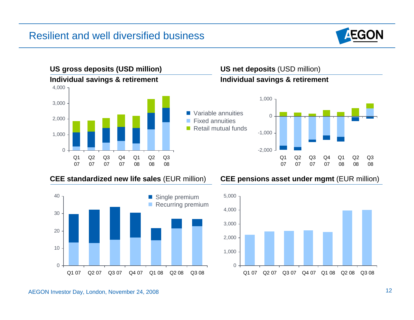#### Resilient and well diversified business





#### **CEE standardized new life sales** (EUR million) **CEE pensions asset under mgmt** (EUR million)



#### AEGON Investor Day, London, November 24, 2008 12

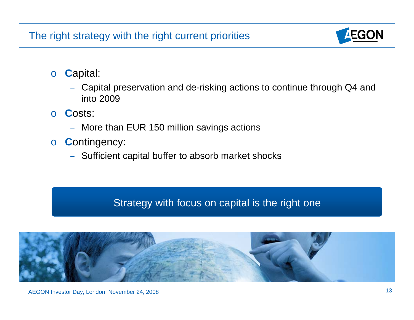## The right strategy with the right current priorities



- <sup>o</sup> **C**apital:
	- Capital preservation and de-risking actions to continue through Q4 and into 2009
- <sup>o</sup> **C**osts:
	- More than EUR 150 million savings actions
- <sup>o</sup> **C**ontingency:
	- Sufficient capital buffer to absorb market shocks

## Strategy with focus on capital is the right one

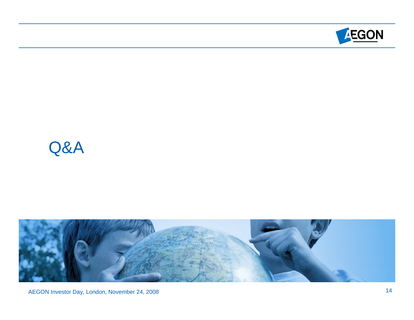

# Q&A



AEGON Investor Day, London, November 24, 2008 14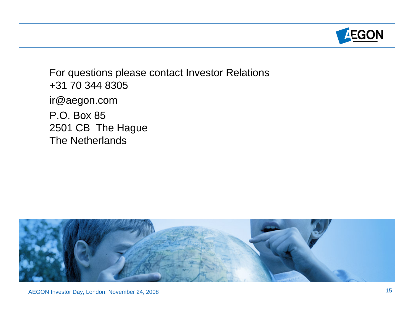

For questions please contact Investor Relations +31 70 344 8305 ir@aegon.com P.O. Box 85 2501 CB The Hague The Netherlands